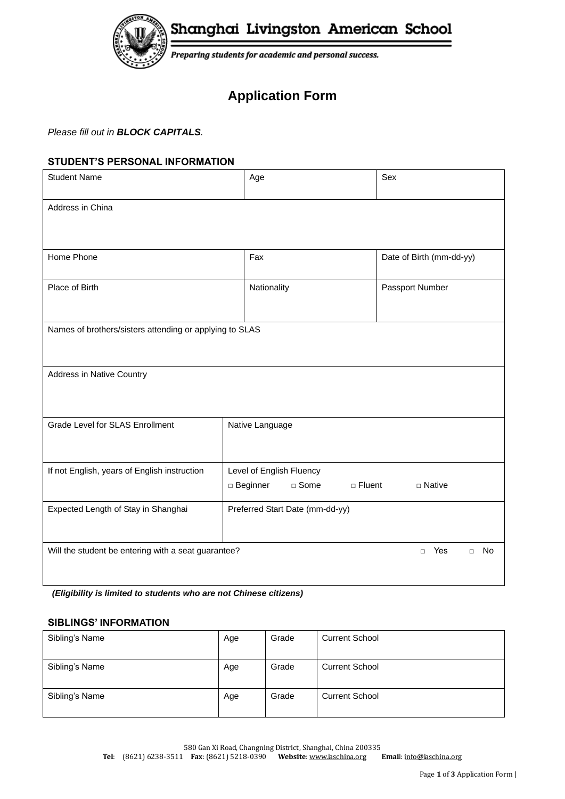

Shanghai Livingston American School

Preparing students for academic and personal success.

# **Application Form**

*Please fill out in BLOCK CAPITALS.*

# **STUDENT'S PERSONAL INFORMATION**

| <b>Student Name</b>                                                                         | Age                                                        | Sex                       |  |  |
|---------------------------------------------------------------------------------------------|------------------------------------------------------------|---------------------------|--|--|
| Address in China                                                                            |                                                            |                           |  |  |
|                                                                                             |                                                            |                           |  |  |
| Home Phone                                                                                  | Fax                                                        | Date of Birth (mm-dd-yy)  |  |  |
| Place of Birth                                                                              | Nationality                                                | Passport Number           |  |  |
| Names of brothers/sisters attending or applying to SLAS                                     |                                                            |                           |  |  |
| Address in Native Country                                                                   |                                                            |                           |  |  |
| <b>Grade Level for SLAS Enrollment</b>                                                      | Native Language                                            |                           |  |  |
| If not English, years of English instruction                                                | Level of English Fluency<br>$\Box$ Beginner<br>$\Box$ Some | □ Fluent<br>$\Box$ Native |  |  |
| Expected Length of Stay in Shanghai                                                         | Preferred Start Date (mm-dd-yy)                            |                           |  |  |
| Will the student be entering with a seat guarantee?<br>Yes<br><b>No</b><br>$\Box$<br>$\Box$ |                                                            |                           |  |  |

*(Eligibility is limited to students who are not Chinese citizens)*

## **SIBLINGS' INFORMATION**

| Sibling's Name | Age | Grade | <b>Current School</b> |
|----------------|-----|-------|-----------------------|
| Sibling's Name | Age | Grade | <b>Current School</b> |
| Sibling's Name | Age | Grade | <b>Current School</b> |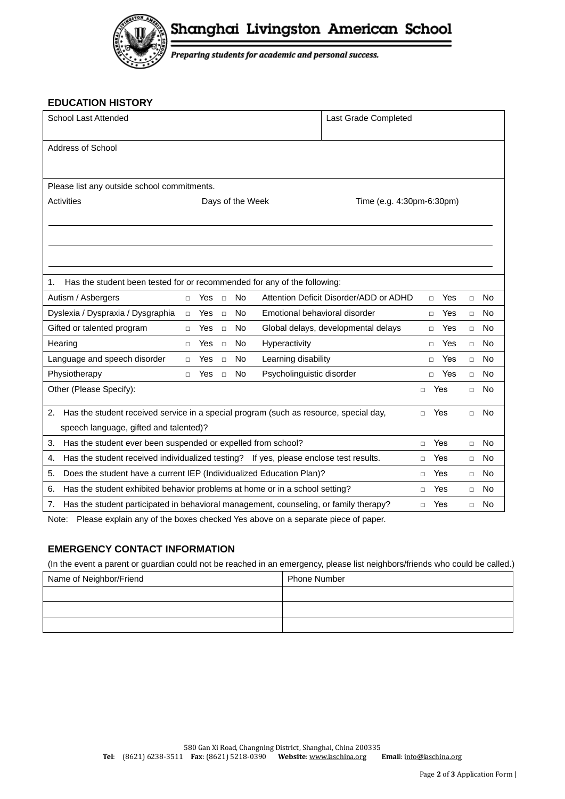

Shanghai Livingston American School

Preparing students for academic and personal success.

#### **EDUCATION HISTORY**

| School Last Attended                                                                                                                |                                             |        |           |                               | Last Grade Completed                   |        |     |        |           |
|-------------------------------------------------------------------------------------------------------------------------------------|---------------------------------------------|--------|-----------|-------------------------------|----------------------------------------|--------|-----|--------|-----------|
| <b>Address of School</b>                                                                                                            |                                             |        |           |                               |                                        |        |     |        |           |
|                                                                                                                                     | Please list any outside school commitments. |        |           |                               |                                        |        |     |        |           |
| <b>Activities</b><br>Time (e.g. 4:30pm-6:30pm)<br>Days of the Week                                                                  |                                             |        |           |                               |                                        |        |     |        |           |
|                                                                                                                                     |                                             |        |           |                               |                                        |        |     |        |           |
|                                                                                                                                     |                                             |        |           |                               |                                        |        |     |        |           |
|                                                                                                                                     |                                             |        |           |                               |                                        |        |     |        |           |
| Has the student been tested for or recommended for any of the following:<br>1.                                                      |                                             |        |           |                               |                                        |        |     |        |           |
| Autism / Asbergers                                                                                                                  | Yes<br>$\Box$                               | $\Box$ | <b>No</b> |                               | Attention Deficit Disorder/ADD or ADHD | $\Box$ | Yes | $\Box$ | <b>No</b> |
| Dyslexia / Dyspraxia / Dysgraphia                                                                                                   | Yes<br>$\Box$                               | $\Box$ | <b>No</b> | Emotional behavioral disorder |                                        | $\Box$ | Yes | $\Box$ | <b>No</b> |
| Gifted or talented program                                                                                                          | Yes<br>$\Box$                               | $\Box$ | <b>No</b> |                               | Global delays, developmental delays    | $\Box$ | Yes | $\Box$ | <b>No</b> |
| Hearing                                                                                                                             | Yes<br>$\Box$                               | $\Box$ | <b>No</b> | Hyperactivity                 |                                        | $\Box$ | Yes | $\Box$ | <b>No</b> |
| Language and speech disorder                                                                                                        | Yes<br>$\Box$                               | $\Box$ | No        | Learning disability           |                                        | $\Box$ | Yes | $\Box$ | No        |
| Physiotherapy                                                                                                                       | Yes<br>$\Box$                               | $\Box$ | <b>No</b> | Psycholinguistic disorder     |                                        | $\Box$ | Yes | $\Box$ | <b>No</b> |
| Other (Please Specify):                                                                                                             |                                             |        |           |                               |                                        | $\Box$ | Yes | $\Box$ | No        |
| 2.<br>Has the student received service in a special program (such as resource, special day,<br>Yes<br>No<br>$\Box$<br>$\Box$        |                                             |        |           |                               |                                        |        |     |        |           |
| speech language, gifted and talented)?                                                                                              |                                             |        |           |                               |                                        |        |     |        |           |
| Has the student ever been suspended or expelled from school?<br>Yes<br><b>No</b><br>3.<br>$\Box$<br>$\Box$                          |                                             |        |           |                               |                                        |        |     |        |           |
| Has the student received individualized testing? If yes, please enclose test results.<br>Yes<br>No<br>4.<br>$\Box$<br>$\Box$        |                                             |        |           |                               |                                        |        |     |        |           |
| Does the student have a current IEP (Individualized Education Plan)?<br>5.<br>Yes<br>No<br>$\Box$<br>$\Box$                         |                                             |        |           |                               |                                        |        |     |        |           |
| Has the student exhibited behavior problems at home or in a school setting?<br>6.<br>Yes<br>No<br>$\Box$<br>$\Box$                  |                                             |        |           |                               |                                        |        |     |        |           |
| Has the student participated in behavioral management, counseling, or family therapy?<br>Yes<br><b>No</b><br>7.<br>$\Box$<br>$\Box$ |                                             |        |           |                               |                                        |        |     |        |           |

Note: Please explain any of the boxes checked Yes above on a separate piece of paper.

### **EMERGENCY CONTACT INFORMATION**

(In the event a parent or guardian could not be reached in an emergency, please list neighbors/friends who could be called.)

| Name of Neighbor/Friend | <b>Phone Number</b> |
|-------------------------|---------------------|
|                         |                     |
|                         |                     |
|                         |                     |